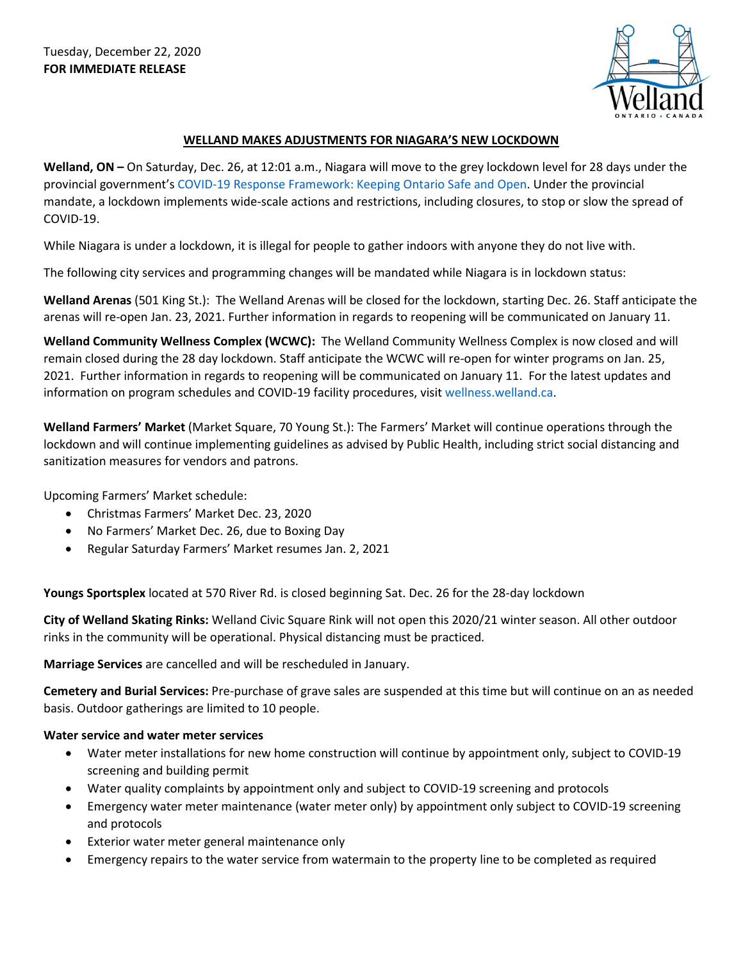

## **WELLAND MAKES ADJUSTMENTS FOR NIAGARA'S NEW LOCKDOWN**

**Welland, ON –** On Saturday, Dec. 26, at 12:01 a.m., Niagara will move to the grey lockdown level for 28 days under the provincial government'[s COVID-19 Response Framework: Keeping Ontario Safe and Open.](https://covid-19.ontario.ca/zones-and-restrictions) Under the provincial mandate, a lockdown implements wide-scale actions and restrictions, including closures, to stop or slow the spread of COVID-19.

While Niagara is under a lockdown, it is illegal for people to gather indoors with anyone they do not live with.

The following city services and programming changes will be mandated while Niagara is in lockdown status:

**Welland Arenas** (501 King St.): The Welland Arenas will be closed for the lockdown, starting Dec. 26. Staff anticipate the arenas will re-open Jan. 23, 2021. Further information in regards to reopening will be communicated on January 11.

**Welland Community Wellness Complex (WCWC):** The Welland Community Wellness Complex is now closed and will remain closed during the 28 day lockdown. Staff anticipate the WCWC will re-open for winter programs on Jan. 25, 2021. Further information in regards to reopening will be communicated on January 11. For the latest updates and information on program schedules and COVID-19 facility procedures, visit [wellness.welland.ca.](https://wellness.welland.ca/)

**Welland Farmers' Market** (Market Square, 70 Young St.): The Farmers' Market will continue operations through the lockdown and will continue implementing guidelines as advised by Public Health, including strict social distancing and sanitization measures for vendors and patrons.

Upcoming Farmers' Market schedule:

- Christmas Farmers' Market Dec. 23, 2020
- No Farmers' Market Dec. 26, due to Boxing Day
- Regular Saturday Farmers' Market resumes Jan. 2, 2021

**Youngs Sportsplex** located at 570 River Rd. is closed beginning Sat. Dec. 26 for the 28-day lockdown

**City of Welland Skating Rinks:** Welland Civic Square Rink will not open this 2020/21 winter season. All other outdoor rinks in the community will be operational. Physical distancing must be practiced.

**Marriage Services** are cancelled and will be rescheduled in January.

**Cemetery and Burial Services:** Pre-purchase of grave sales are suspended at this time but will continue on an as needed basis. Outdoor gatherings are limited to 10 people.

## **Water service and water meter services**

- Water meter installations for new home construction will continue by appointment only, subject to COVID-19 screening and building permit
- Water quality complaints by appointment only and subject to COVID-19 screening and protocols
- Emergency water meter maintenance (water meter only) by appointment only subject to COVID-19 screening and protocols
- Exterior water meter general maintenance only
- Emergency repairs to the water service from watermain to the property line to be completed as required